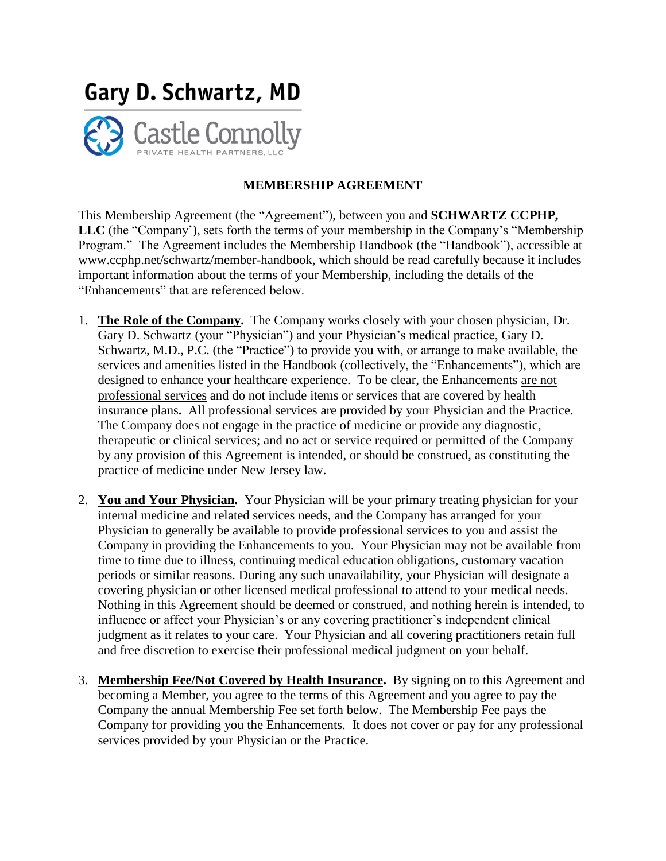

## **MEMBERSHIP AGREEMENT**

This Membership Agreement (the "Agreement"), between you and **SCHWARTZ CCPHP, LLC** (the "Company'), sets forth the terms of your membership in the Company's "Membership Program." The Agreement includes the Membership Handbook (the "Handbook"), accessible at www.ccphp.net/schwartz/member-handbook, which should be read carefully because it includes important information about the terms of your Membership, including the details of the "Enhancements" that are referenced below.

- 1. **The Role of the Company.** The Company works closely with your chosen physician, Dr. Gary D. Schwartz (your "Physician") and your Physician's medical practice, Gary D. Schwartz, M.D., P.C. (the "Practice") to provide you with, or arrange to make available, the services and amenities listed in the Handbook (collectively, the "Enhancements"), which are designed to enhance your healthcare experience. To be clear, the Enhancements are not professional services and do not include items or services that are covered by health insurance plans**.** All professional services are provided by your Physician and the Practice. The Company does not engage in the practice of medicine or provide any diagnostic, therapeutic or clinical services; and no act or service required or permitted of the Company by any provision of this Agreement is intended, or should be construed, as constituting the practice of medicine under New Jersey law.
- 2. **You and Your Physician.** Your Physician will be your primary treating physician for your internal medicine and related services needs, and the Company has arranged for your Physician to generally be available to provide professional services to you and assist the Company in providing the Enhancements to you. Your Physician may not be available from time to time due to illness, continuing medical education obligations, customary vacation periods or similar reasons. During any such unavailability, your Physician will designate a covering physician or other licensed medical professional to attend to your medical needs. Nothing in this Agreement should be deemed or construed, and nothing herein is intended, to influence or affect your Physician's or any covering practitioner's independent clinical judgment as it relates to your care. Your Physician and all covering practitioners retain full and free discretion to exercise their professional medical judgment on your behalf.
- 3. **Membership Fee/Not Covered by Health Insurance.** By signing on to this Agreement and becoming a Member, you agree to the terms of this Agreement and you agree to pay the Company the annual Membership Fee set forth below. The Membership Fee pays the Company for providing you the Enhancements. It does not cover or pay for any professional services provided by your Physician or the Practice.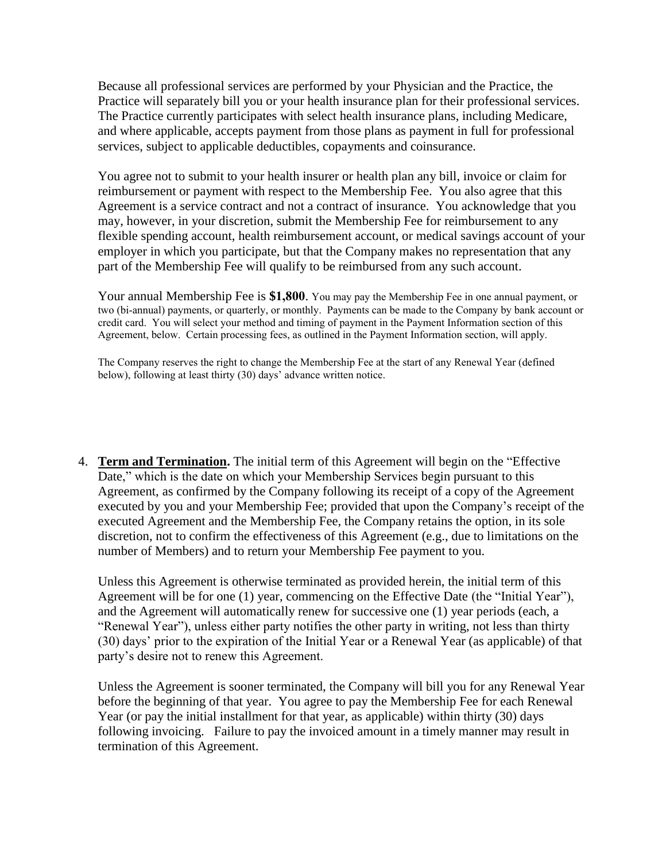Because all professional services are performed by your Physician and the Practice, the Practice will separately bill you or your health insurance plan for their professional services. The Practice currently participates with select health insurance plans, including Medicare, and where applicable, accepts payment from those plans as payment in full for professional services, subject to applicable deductibles, copayments and coinsurance.

You agree not to submit to your health insurer or health plan any bill, invoice or claim for reimbursement or payment with respect to the Membership Fee. You also agree that this Agreement is a service contract and not a contract of insurance. You acknowledge that you may, however, in your discretion, submit the Membership Fee for reimbursement to any flexible spending account, health reimbursement account, or medical savings account of your employer in which you participate, but that the Company makes no representation that any part of the Membership Fee will qualify to be reimbursed from any such account.

Your annual Membership Fee is **\$1,800**. You may pay the Membership Fee in one annual payment, or two (bi-annual) payments, or quarterly, or monthly. Payments can be made to the Company by bank account or credit card. You will select your method and timing of payment in the Payment Information section of this Agreement, below. Certain processing fees, as outlined in the Payment Information section, will apply.

The Company reserves the right to change the Membership Fee at the start of any Renewal Year (defined below), following at least thirty (30) days' advance written notice.

4. **Term and Termination.** The initial term of this Agreement will begin on the "Effective Date," which is the date on which your Membership Services begin pursuant to this Agreement, as confirmed by the Company following its receipt of a copy of the Agreement executed by you and your Membership Fee; provided that upon the Company's receipt of the executed Agreement and the Membership Fee, the Company retains the option, in its sole discretion, not to confirm the effectiveness of this Agreement (e.g., due to limitations on the number of Members) and to return your Membership Fee payment to you.

Unless this Agreement is otherwise terminated as provided herein, the initial term of this Agreement will be for one (1) year, commencing on the Effective Date (the "Initial Year"), and the Agreement will automatically renew for successive one (1) year periods (each, a "Renewal Year"), unless either party notifies the other party in writing, not less than thirty (30) days' prior to the expiration of the Initial Year or a Renewal Year (as applicable) of that party's desire not to renew this Agreement.

Unless the Agreement is sooner terminated, the Company will bill you for any Renewal Year before the beginning of that year. You agree to pay the Membership Fee for each Renewal Year (or pay the initial installment for that year, as applicable) within thirty (30) days following invoicing. Failure to pay the invoiced amount in a timely manner may result in termination of this Agreement.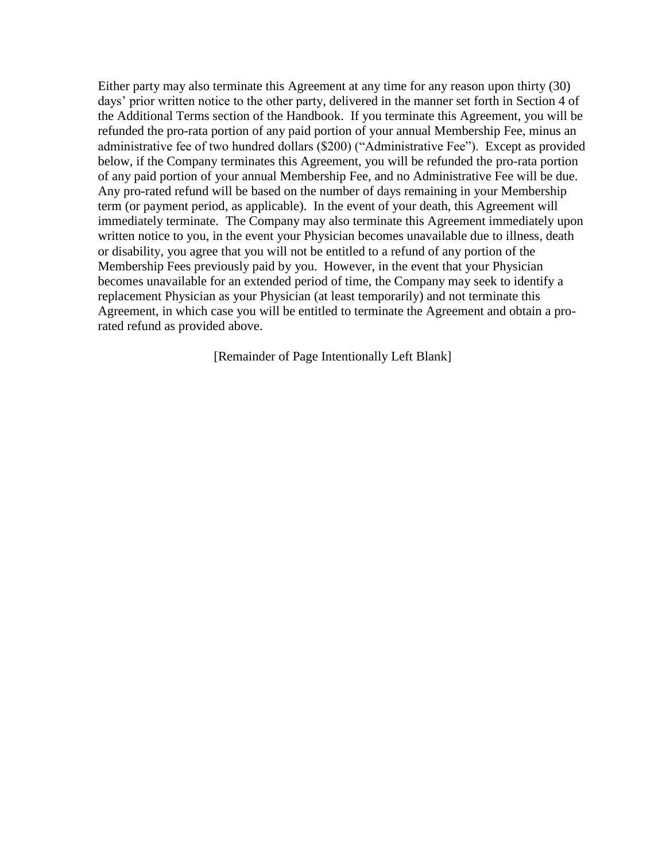Either party may also terminate this Agreement at any time for any reason upon thirty (30) days' prior written notice to the other party, delivered in the manner set forth in Section 4 of the Additional Terms section of the Handbook. If you terminate this Agreement, you will be refunded the pro-rata portion of any paid portion of your annual Membership Fee, minus an administrative fee of two hundred dollars (\$200) ("Administrative Fee"). Except as provided below, if the Company terminates this Agreement, you will be refunded the pro-rata portion of any paid portion of your annual Membership Fee, and no Administrative Fee will be due. Any pro-rated refund will be based on the number of days remaining in your Membership term (or payment period, as applicable). In the event of your death, this Agreement will immediately terminate. The Company may also terminate this Agreement immediately upon written notice to you, in the event your Physician becomes unavailable due to illness, death or disability, you agree that you will not be entitled to a refund of any portion of the Membership Fees previously paid by you. However, in the event that your Physician becomes unavailable for an extended period of time, the Company may seek to identify a replacement Physician as your Physician (at least temporarily) and not terminate this Agreement, in which case you will be entitled to terminate the Agreement and obtain a prorated refund as provided above.

[Remainder of Page Intentionally Left Blank]